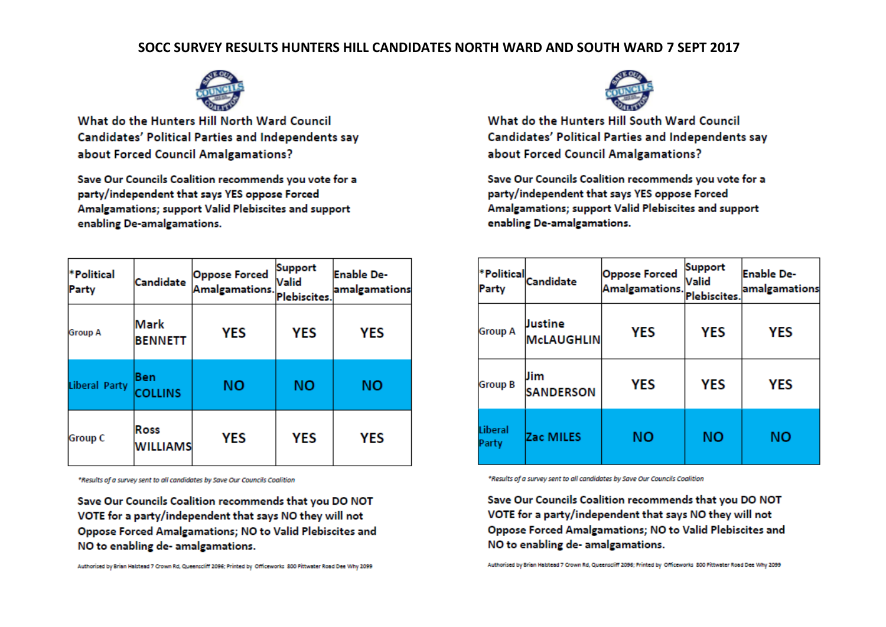## SOCC SURVEY RESULTS HUNTERS HILL CANDIDATES NORTH WARD AND SOUTH WARD 7 SEPT 2017



What do the Hunters Hill North Ward Council Candidates' Political Parties and Independents say about Forced Council Amalgamations?

Save Our Councils Coalition recommends you vote for a party/independent that says YES oppose Forced Amalgamations; support Valid Plebiscites and support enabling De-amalgamations.

| *Political<br>Party  | Candidate               | <b>Oppose Forced</b><br>Amalgamations. | <b>Support</b><br>Valid<br>Plebiscites. | Enable De-<br>amalgamations |
|----------------------|-------------------------|----------------------------------------|-----------------------------------------|-----------------------------|
| <b>Group A</b>       | Mark<br><b>BENNETT</b>  | YES                                    | <b>YES</b>                              | YES                         |
| <b>Liberal Party</b> | Ben<br><b>COLLINS</b>   | NΟ                                     | ΝO                                      | ΝO                          |
| <b>Group C</b>       | Ross<br><b>WILLIAMS</b> | YES                                    | <b>YES</b>                              | YES                         |

\*Results of a survey sent to all candidates by Save Our Councils Coalition

Save Our Councils Coalition recommends that you DO NOT VOTE for a party/independent that says NO they will not Oppose Forced Amalgamations; NO to Valid Plebiscites and NO to enabling de- amalgamations.

Authorised by Brian Halstead 7 Crown Rd, Queenscliff 2096; Printed by Officeworks 800 Pittwater Road Dee Why 2099



What do the Hunters Hill South Ward Council Candidates' Political Parties and Independents say about Forced Council Amalgamations?

Save Our Councils Coalition recommends you vote for a party/independent that says YES oppose Forced Amalgamations; support Valid Plebiscites and support enabling De-amalgamations.

| *Political<br>Party | Candidate                    | <b>Oppose Forced</b><br>Amalgamations. | Support<br>Valid<br>Plebiscites. | <b>Enable De-</b><br>amalgamations |
|---------------------|------------------------------|----------------------------------------|----------------------------------|------------------------------------|
| <b>Group A</b>      | Justine<br><b>McLAUGHLIN</b> | <b>YES</b>                             | <b>YES</b>                       | YES                                |
| <b>Group B</b>      | Jim<br><b>SANDERSON</b>      | <b>YES</b>                             | <b>YES</b>                       | YES                                |
| Liberal<br>Party    | Zac MILES                    | NΟ                                     | ΝO                               | ΝO                                 |

\*Results of a survey sent to all candidates by Save Our Councils Coalition

Save Our Councils Coalition recommends that you DO NOT VOTE for a party/independent that says NO they will not Oppose Forced Amalgamations; NO to Valid Plebiscites and NO to enabling de- amalgamations.